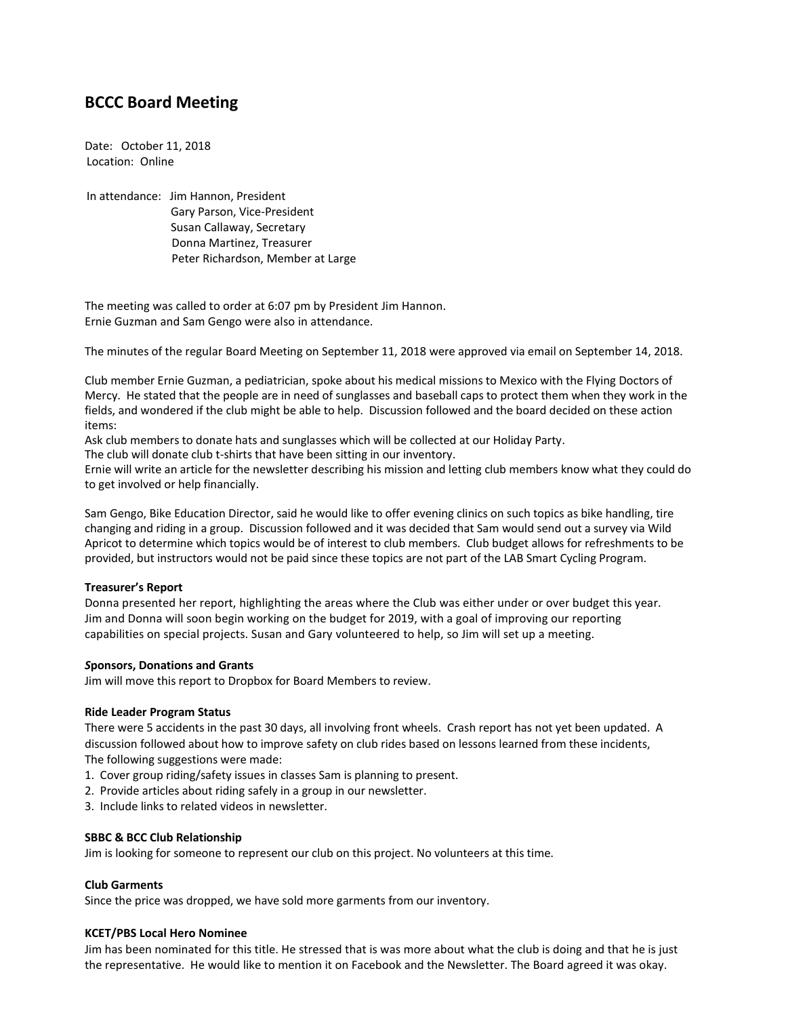# **BCCC Board Meeting**

Date: October 11, 2018 Location: Online

In attendance: Jim Hannon, President Gary Parson, Vice-President Susan Callaway, Secretary Donna Martinez, Treasurer Peter Richardson, Member at Large

The meeting was called to order at 6:07 pm by President Jim Hannon. Ernie Guzman and Sam Gengo were also in attendance.

The minutes of the regular Board Meeting on September 11, 2018 were approved via email on September 14, 2018.

Club member Ernie Guzman, a pediatrician, spoke about his medical missions to Mexico with the Flying Doctors of Mercy. He stated that the people are in need of sunglasses and baseball caps to protect them when they work in the fields, and wondered if the club might be able to help. Discussion followed and the board decided on these action items:

Ask club members to donate hats and sunglasses which will be collected at our Holiday Party.

The club will donate club t-shirts that have been sitting in our inventory.

Ernie will write an article for the newsletter describing his mission and letting club members know what they could do to get involved or help financially.

Sam Gengo, Bike Education Director, said he would like to offer evening clinics on such topics as bike handling, tire changing and riding in a group. Discussion followed and it was decided that Sam would send out a survey via Wild Apricot to determine which topics would be of interest to club members. Club budget allows for refreshments to be provided, but instructors would not be paid since these topics are not part of the LAB Smart Cycling Program.

#### **Treasurer's Report**

Donna presented her report, highlighting the areas where the Club was either under or over budget this year. Jim and Donna will soon begin working on the budget for 2019, with a goal of improving our reporting capabilities on special projects. Susan and Gary volunteered to help, so Jim will set up a meeting.

#### *S***ponsors, Donations and Grants**

Jim will move this report to Dropbox for Board Members to review.

#### **Ride Leader Program Status**

There were 5 accidents in the past 30 days, all involving front wheels. Crash report has not yet been updated. A discussion followed about how to improve safety on club rides based on lessons learned from these incidents, The following suggestions were made:

- 1. Cover group riding/safety issues in classes Sam is planning to present.
- 2. Provide articles about riding safely in a group in our newsletter.
- 3. Include links to related videos in newsletter.

#### **SBBC & BCC Club Relationship**

Jim is looking for someone to represent our club on this project. No volunteers at this time.

#### **Club Garments**

Since the price was dropped, we have sold more garments from our inventory.

#### **KCET/PBS Local Hero Nominee**

Jim has been nominated for this title. He stressed that is was more about what the club is doing and that he is just the representative. He would like to mention it on Facebook and the Newsletter. The Board agreed it was okay.